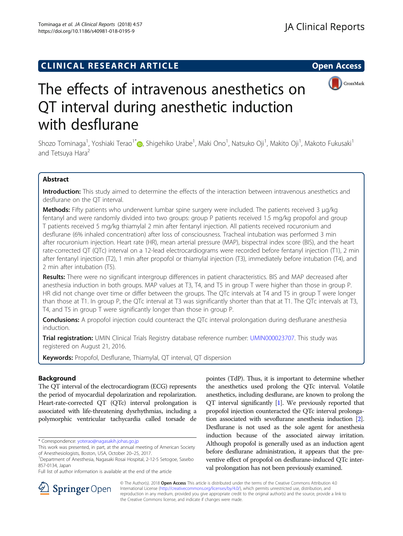# **CLINICAL RESEARCH ARTICLE CLINICAL RESEARCH ARTICLE**



# The effects of intravenous anesthetics on QT interval during anesthetic induction with desflurane

Shozo Tominaga<sup>1</sup>, Yoshiaki Terao<sup>1[\\*](http://orcid.org/0000-0001-5812-0775)</sup>@, Shigehiko Urabe<sup>1</sup>, Maki Ono<sup>1</sup>, Natsuko Oji<sup>1</sup>, Makito Oji<sup>1</sup>, Makoto Fukusaki<sup>1</sup> and Tetsuya Hara<sup>2</sup>

# Abstract

Introduction: This study aimed to determine the effects of the interaction between intravenous anesthetics and desflurane on the QT interval.

**Methods:** Fifty patients who underwent lumbar spine surgery were included. The patients received 3 μg/kg fentanyl and were randomly divided into two groups: group P patients received 1.5 mg/kg propofol and group T patients received 5 mg/kg thiamylal 2 min after fentanyl injection. All patients received rocuronium and desflurane (6% inhaled concentration) after loss of consciousness. Tracheal intubation was performed 3 min after rocuronium injection. Heart rate (HR), mean arterial pressure (MAP), bispectral index score (BIS), and the heart rate-corrected QT (QTc) interval on a 12-lead electrocardiograms were recorded before fentanyl injection (T1), 2 min after fentanyl injection (T2), 1 min after propofol or thiamylal injection (T3), immediately before intubation (T4), and 2 min after intubation (T5).

Results: There were no significant intergroup differences in patient characteristics. BIS and MAP decreased after anesthesia induction in both groups. MAP values at T3, T4, and T5 in group T were higher than those in group P. HR did not change over time or differ between the groups. The QTc intervals at T4 and T5 in group T were longer than those at T1. In group P, the QTc interval at T3 was significantly shorter than that at T1. The QTc intervals at T3, T4, and T5 in group T were significantly longer than those in group P.

**Conclusions:** A propofol injection could counteract the QTc interval prolongation during desflurane anesthesia induction.

Trial registration: UMIN Clinical Trials Registry database reference number: [UMIN000023707](https://upload.umin.ac.jp/cgi-open-bin/ctr/index.cgi). This study was registered on August 21, 2016.

Keywords: Propofol, Desflurane, Thiamylal, QT interval, QT dispersion

# Background

The QT interval of the electrocardiogram (ECG) represents the period of myocardial depolarization and repolarization. Heart-rate-corrected QT (QTc) interval prolongation is associated with life-threatening dysrhythmias, including a polymorphic ventricular tachycardia called torsade de

\* Correspondence: [yoterao@nagasakih.johas.go.jp](mailto:yoterao@nagasakih.johas.go.jp)

Full list of author information is available at the end of the article

pointes (TdP). Thus, it is important to determine whether the anesthetics used prolong the QTc interval. Volatile anesthetics, including desflurane, are known to prolong the QT interval significantly [[1](#page-5-0)]. We previously reported that propofol injection counteracted the QTc interval prolongation associated with sevoflurane anesthesia induction [[2](#page-5-0)]. Desflurane is not used as the sole agent for anesthesia induction because of the associated airway irritation. Although propofol is generally used as an induction agent before desflurane administration, it appears that the preventive effect of propofol on desflurane-induced QTc interval prolongation has not been previously examined.



© The Author(s). 2018 Open Access This article is distributed under the terms of the Creative Commons Attribution 4.0 International License ([http://creativecommons.org/licenses/by/4.0/\)](http://creativecommons.org/licenses/by/4.0/), which permits unrestricted use, distribution, and reproduction in any medium, provided you give appropriate credit to the original author(s) and the source, provide a link to the Creative Commons license, and indicate if changes were made.

This work was presented, in part, at the annual meeting of American Society of Anesthesiologists, Boston, USA, October 20–25, 2017. <sup>1</sup>

Department of Anesthesia, Nagasaki Rosai Hospital, 2-12-5 Setogoe, Sasebo 857-0134, Japan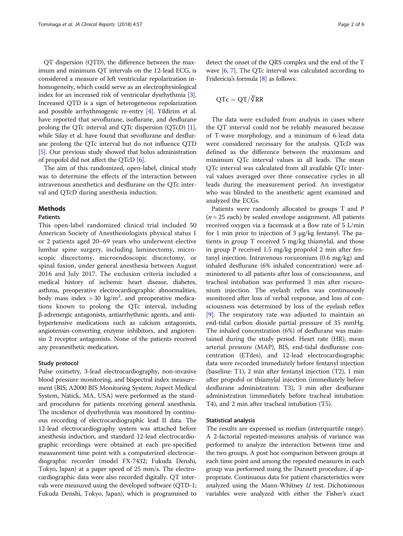QT dispersion (QTD), the difference between the maximum and minimum QT intervals on the 12-lead ECG, is considered a measure of left ventricular repolarization inhomogeneity, which could serve as an electrophysiological index for an increased risk of ventricular dysrhythmia [[3](#page-5-0)]. Increased QTD is a sign of heterogeneous repolarization and possible arrhythmogenic re-entry [[4\]](#page-5-0). Yildirim et al. have reported that sevoflurane, isoflurane, and desflurane prolong the QTc interval and QTc dispersion (QTcD) [[1](#page-5-0)], while Silay et al. have found that sevoflurane and desflurane prolong the QTc interval but do not influence QTD [[5\]](#page-5-0). Our previous study showed that bolus administration of propofol did not affect the QTcD [\[6\]](#page-5-0).

The aim of this randomized, open-label, clinical study was to determine the effects of the interaction between intravenous anesthetics and desflurane on the QTc interval and QTcD during anesthesia induction.

## Methods

### **Pationts**

This open-label randomized clinical trial included 50 American Society of Anesthesiologists physical status 1 or 2 patients aged 20–69 years who underwent elective lumbar spine surgery, including laminectomy, microscopic discectomy, microendoscopic discectomy, or spinal fusion, under general anesthesia between August 2016 and July 2017. The exclusion criteria included a medical history of ischemic heart disease, diabetes, asthma, preoperative electrocardiographic abnormalities, body mass index  $>$  30 kg/m<sup>2</sup>, and preoperative medications known to prolong the QTc interval, including β-adrenergic antagonists, antiarrhythmic agents, and antihypertensive medications such as calcium antagonists, angiotensin-converting enzyme inhibitors, and angiotensin 2 receptor antagonists. None of the patients received any preanesthetic medication.

## Study protocol

Pulse oximetry, 3-lead electrocardiography, non-invasive blood pressure monitoring, and bispectral index measurement (BIS; A2000 BIS Monitoring System; Aspect Medical System, Natick, MA, USA) were performed as the standard procedures for patients receiving general anesthesia. The incidence of dysrhythmia was monitored by continuous recording of electrocardiographic lead II data. The 12-lead electrocardiography system was attached before anesthesia induction, and standard 12-lead electrocardiographic recordings were obtained at each pre-specified measurement time point with a computerized electrocardiographic recorder (model FX-7432; Fukuda Denshi, Tokyo, Japan) at a paper speed of 25 mm/s. The electrocardiographic data were also recorded digitally. QT intervals were measured using the developed software (QTD-1; Fukuda Denshi, Tokyo, Japan), which is programmed to

detect the onset of the QRS complex and the end of the T wave [[6,](#page-5-0) [7\]](#page-5-0). The QTc interval was calculated according to Fridericia's formula [[8\]](#page-5-0) as follows:

$$
QTc = QT/\sqrt[3]{RR}
$$

The data were excluded from analysis in cases where the QT interval could not be reliably measured because of T-wave morphology, and a minimum of 6-lead data were considered necessary for the analysis. QTcD was defined as the difference between the maximum and minimum QTc interval values in all leads. The mean QTc interval was calculated from all available QTc interval values averaged over three consecutive cycles in all leads during the measurement period. An investigator who was blinded to the anesthetic agent examined and analyzed the ECGs.

Patients were randomly allocated to groups T and P  $(n = 25$  each) by sealed envelope assignment. All patients received oxygen via a facemask at a flow rate of 5 L/min for 1 min prior to injection of 3 μg/kg fentanyl. The patients in group T received 5 mg/kg thiamylal, and those in group P received 1.5 mg/kg propofol 2 min after fentanyl injection. Intravenous rocuronium (0.6 mg/kg) and inhaled desflurane (6% inhaled concentration) were administered to all patients after loss of consciousness, and tracheal intubation was performed 3 min after rocuronium injection. The eyelash reflex was continuously monitored after loss of verbal response, and loss of consciousness was determined by loss of the eyelash reflex [[9\]](#page-5-0). The respiratory rate was adjusted to maintain an end-tidal carbon dioxide partial pressure of 35 mmHg. The inhaled concentration (6%) of desflurane was maintained during the study period. Heart rate (HR), mean arterial pressure (MAP), BIS, end-tidal desflurane concentration (ETdes), and 12-lead electrocardiographic data were recorded immediately before fentanyl injection (baseline: T1), 2 min after fentanyl injection (T2), 1 min after propofol or thiamylal injection (immediately before desflurane administration: T3), 3 min after desflurane administration (immediately before tracheal intubation: T4), and 2 min after tracheal intubation (T5).

## Statistical analysis

The results are expressed as median (interquartile range). A 2-factorial repeated-measures analysis of variance was performed to analyze the interaction between time and the two groups. A post hoc comparison between groups at each time point and among the repeated measures in each group was performed using the Dunnett procedure, if appropriate. Continuous data for patient characteristics were analyzed using the Mann-Whitney  $U$  test. Dichotomous variables were analyzed with either the Fisher's exact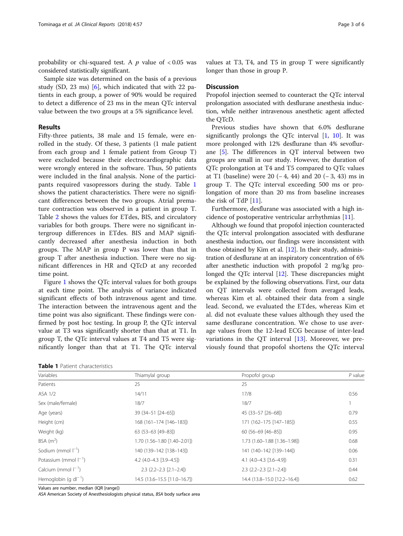probability or chi-squared test. A  $p$  value of  $< 0.05$  was considered statistically significant.

Sample size was determined on the basis of a previous study (SD, 23 ms)  $[6]$  $[6]$ , which indicated that with 22 patients in each group, a power of 90% would be required to detect a difference of 23 ms in the mean QTc interval value between the two groups at a 5% significance level.

# Results

Fifty-three patients, 38 male and 15 female, were enrolled in the study. Of these, 3 patients (1 male patient from each group and 1 female patient from Group T) were excluded because their electrocardiographic data were wrongly entered in the software. Thus, 50 patients were included in the final analysis. None of the participants required vasopressors during the study. Table 1 shows the patient characteristics. There were no significant differences between the two groups. Atrial premature contraction was observed in a patient in group T. Table [2](#page-3-0) shows the values for ETdes, BIS, and circulatory variables for both groups. There were no significant intergroup differences in ETdes. BIS and MAP significantly decreased after anesthesia induction in both groups. The MAP in group P was lower than that in group T after anesthesia induction. There were no significant differences in HR and QTcD at any recorded time point.

Figure [1](#page-3-0) shows the QTc interval values for both groups at each time point. The analysis of variance indicated significant effects of both intravenous agent and time. The interaction between the intravenous agent and the time point was also significant. These findings were confirmed by post hoc testing. In group P, the QTc interval value at T3 was significantly shorter than that at T1. In group T, the QTc interval values at T4 and T5 were significantly longer than that at T1. The QTc interval

| <b>Table 1</b> Patient characteristics |
|----------------------------------------|
|----------------------------------------|

values at T3, T4, and T5 in group T were significantly longer than those in group P.

# **Discussion**

Propofol injection seemed to counteract the QTc interval prolongation associated with desflurane anesthesia induction, while neither intravenous anesthetic agent affected the QTcD.

Previous studies have shown that 6.0% desflurane significantly prolongs the QTc interval  $[1, 10]$  $[1, 10]$  $[1, 10]$  $[1, 10]$ . It was more prolonged with 12% desflurane than 4% sevoflurane [[5\]](#page-5-0). The differences in QT interval between two groups are small in our study. However, the duration of QTc prolongation at T4 and T5 compared to QTc values at T1 (baseline) were 20 (− 4, 44) and 20 (− 3, 43) ms in group T. The QTc interval exceeding 500 ms or prolongation of more than 20 ms from baseline increases the risk of TdP [[11\]](#page-5-0).

Furthermore, desflurane was associated with a high incidence of postoperative ventricular arrhythmias [\[11](#page-5-0)].

Although we found that propofol injection counteracted the QTc interval prolongation associated with desflurane anesthesia induction, our findings were inconsistent with those obtained by Kim et al. [\[12\]](#page-5-0). In their study, administration of desflurane at an inspiratory concentration of 6% after anesthetic induction with propofol 2 mg/kg prolonged the QTc interval [\[12\]](#page-5-0). These discrepancies might be explained by the following observations. First, our data on QT intervals were collected from averaged leads, whereas Kim et al. obtained their data from a single lead. Second, we evaluated the ETdes, whereas Kim et al. did not evaluate these values although they used the same desflurane concentration. We chose to use average values from the 12-lead ECG because of inter-lead variations in the QT interval  $[13]$  $[13]$ . Moreover, we previously found that propofol shortens the QTc interval

| Variables                      | Thiamylal group              | Propofol group               | $P$ value |
|--------------------------------|------------------------------|------------------------------|-----------|
| Patients                       | 25                           | 25                           |           |
| ASA 1/2                        | 14/11                        | 17/8                         | 0.56      |
| Sex (male/female)              | 18/7                         | 18/7                         |           |
| Age (years)                    | 39 (34-51 [24-65])           | 45 (33-57 [26-68])           | 0.79      |
| Height (cm)                    | 168 (161-174 [146-183])      | 171 (162-175 [147-185])      | 0.55      |
| Weight (kg)                    | 63 (53-63 [49-83])           | $60(56-69[46-85])$           | 0.95      |
| BSA $(m^2)$                    | 1.70 (1.56-1.80 [1.40-2.01]) | 1.73 (1.60-1.88 [1.36-1.98]) | 0.68      |
| Sodium (mmol $\vert^{-1}$ )    | 140 (139-142 [138-143])      | 141 (140-142 [139-144])      | 0.06      |
| Potassium (mmol $\vert^{-1}$ ) | 4.2 (4.0-4.3 [3.9-4.5])      | 4.1 (4.0-4.3 [3.6-4.9])      | 0.31      |
| Calcium (mmol $ ^{-1}$ )       | $2.3$ (2.2-2.3 [2.1-2.4])    | $2.3$ (2.2-2.3 [2.1-2.4])    | 0.44      |
| Hemoglobin (g $dl^{-1}$ )      | 14.5 (13.6–15.5 [11.0–16.7]) | 14.4 (13.8-15.0 [12.2-16.4]) | 0.62      |

Values are number, median (IQR [range])

ASA American Society of Anesthesiologists physical status, BSA body surface area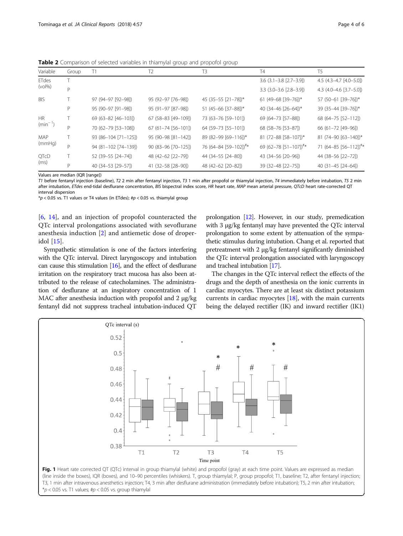<span id="page-3-0"></span>**Table 2** Comparison of selected variables in thiamylal group and propofol group

| Variable                  | Group | T1                   | T <sub>2</sub>      | T3                                | <b>T4</b>                            | T <sub>5</sub>                    |
|---------------------------|-------|----------------------|---------------------|-----------------------------------|--------------------------------------|-----------------------------------|
| ETdes<br>$(vol\%)$        |       |                      |                     |                                   | $3.6$ ( $3.1 - 3.8$ [ $2.7 - 3.9$ ]) | $4.5$ (4.3-4.7 [4.0-5.0])         |
|                           | P     |                      |                     |                                   | $3.3$ (3.0-3.6 [2.8-3.9])            | 4.3 $(4.0-4.6$ [3.7-5.0])         |
| <b>BIS</b>                |       | 97 (94-97 [92-98])   | 95 (92-97 [76-98])  | 45 (35-55 [21-78])*               | 61 (49-68 [39-76])*                  | 57 (50-61 [39-76])*               |
|                           | P     | 95 (90-97 [91-98])   | 95 (91-97 [87-98])  | 51 (45-66 [37-88])*               | 40 (34-46 [26-64])*                  | 39 (35-44 [39-76])*               |
| <b>HR</b><br>$(min^{-1})$ |       | 69 (63-82 [46-103])  | 67 (58-83 [49-109]) | 73 (63-76 [59-101])               | 69 (64-73 [57-88])                   | 68 (64-75 [52-112])               |
|                           | D     | 70 (62-79 [53-108])  | 67 (61-74 [56-101]) | 64 (59-73 [55-101])               | 68 (58-76 [53-87])                   | 66 (61-72 [49-96])                |
| <b>MAP</b><br>(mmHg)      |       | 93 (86-104 [71-125]) | 95 (90-98 [81-142]) | 89 (82-99 [69-116])*              | 81 (72-88 [58-107])*                 | 81 (74-90 [63-140])*              |
|                           | D     | 94 (81-102 [74-139]) | 90 (83-96 [70-125]) | 76 (64-84 [59-102]) <sup>#*</sup> | 69 (62-78 [51-107]) <sup>#*</sup>    | 71 (64-85 [56-112]) <sup>#*</sup> |
| QTcD<br>(ms)              |       | 52 (39-55 [24-74])   | 48 (42-62 [22-79])  | 44 (34-55 [24-80])                | 43 (34-56 [20-96])                   | 44 (38-56 [22-72])                |
|                           | D     | 40 (34-53 [29-57])   | 41 (32-58 [28-90])  | 48 (42-62 [20-82])                | 39 (32-48 [22-75])                   | 40 (31-45 [24-64])                |
|                           |       |                      |                     |                                   |                                      |                                   |

Values are median (IQR [range])

T1 before fentanyl injection (baseline), T2 2 min after fentanyl injection, T3 1 min after propofol or thiamylal injection, T4 immediately before intubation, T5 2 min after intubation, ETdes end-tidal desflurane concentration, BIS bispectral index score, HR heart rate, MAP mean arterial pressure, QTcD heart rate-corrected QT interval dispersion

 $*p$  < 0.05 vs. T1 values or T4 values (in ETdes);  $tp$  < 0.05 vs. thiamylal group

[[6,](#page-5-0) [14\]](#page-5-0), and an injection of propofol counteracted the QTc interval prolongations associated with sevoflurane anesthesia induction [[2\]](#page-5-0) and antiemetic dose of droperidol [[15\]](#page-5-0).

Sympathetic stimulation is one of the factors interfering with the QTc interval. Direct laryngoscopy and intubation can cause this stimulation [\[16\]](#page-5-0), and the effect of desflurane irritation on the respiratory tract mucosa has also been attributed to the release of catecholamines. The administration of desflurane at an inspiratory concentration of 1 MAC after anesthesia induction with propofol and 2 μg/kg fentanyl did not suppress tracheal intubation-induced QT

prolongation [[12](#page-5-0)]. However, in our study, premedication with 3 μg/kg fentanyl may have prevented the QTc interval prolongation to some extent by attenuation of the sympathetic stimulus during intubation. Chang et al. reported that pretreatment with 2 μg/kg fentanyl significantly diminished the QTc interval prolongation associated with laryngoscopy and tracheal intubation [\[17\]](#page-5-0).

The changes in the QTc interval reflect the effects of the drugs and the depth of anesthesia on the ionic currents in cardiac myocytes. There are at least six distinct potassium currents in cardiac myocytes [\[18\]](#page-5-0), with the main currents being the delayed rectifier (IK) and inward rectifier (IK1)



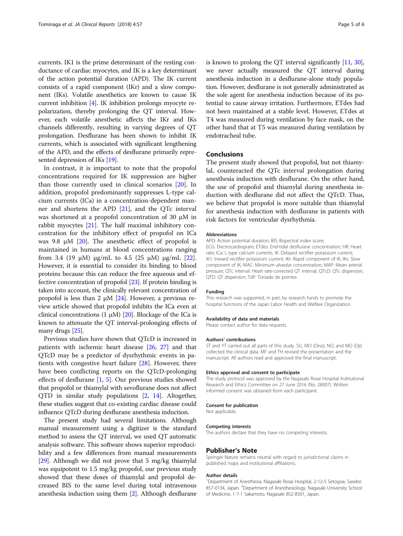currents. IK1 is the prime determinant of the resting conductance of cardiac myocytes, and IK is a key determinant of the action potential duration (APD). The IK current consists of a rapid component (IKr) and a slow component (IKs). Volatile anesthetics are known to cause IK current inhibition [\[4\]](#page-5-0). IK inhibition prolongs myocyte repolarization, thereby prolonging the QT interval. However, each volatile anesthetic affects the IKr and IKs channels differently, resulting in varying degrees of QT prolongation. Desflurane has been shown to inhibit IK currents, which is associated with significant lengthening of the APD, and the effects of desflurane primarily represented depression of IKs [\[19\]](#page-5-0).

In contrast, it is important to note that the propofol concentrations required for IK suppression are higher than those currently used in clinical scenarios [\[20\]](#page-5-0). In addition, propofol predominantly suppresses L-type calcium currents (ICa) in a concentration-dependent manner and shortens the APD [[21](#page-5-0)], and the QTc interval was shortened at a propofol concentration of 30 μM in rabbit myocytes [[21\]](#page-5-0). The half maximal inhibitory concentration for the inhibitory effect of propofol on ICa was 9.8 μM  $[20]$  $[20]$  $[20]$ . The anesthetic effect of propofol is maintained in humans at blood concentrations ranging from 3.4 (19 μM) μg/mL to 4.5 (25 μM) μg/mL [\[22](#page-5-0)]. However, it is essential to consider its binding to blood proteins because this can reduce the free aqueous and effective concentration of propofol [[23](#page-5-0)]. If protein binding is taken into account, the clinically relevant concentration of propofol is less than 2 μM  $[24]$  $[24]$  $[24]$ . However, a previous review article showed that propofol inhibits the ICa even at clinical concentrations (1 μM) [\[20](#page-5-0)]. Blockage of the ICa is known to attenuate the QT interval-prolonging effects of many drugs [\[25\]](#page-5-0).

Previous studies have shown that QTcD is increased in patients with ischemic heart disease [[26,](#page-5-0) [27](#page-5-0)] and that QTcD may be a predictor of dysrhythmic events in patients with congestive heart failure [[28\]](#page-5-0). However, there have been conflicting reports on the QTcD-prolonging effects of desflurane  $[1, 5]$  $[1, 5]$  $[1, 5]$  $[1, 5]$ . Our previous studies showed that propofol or thiamylal with sevoflurane does not affect QTD in similar study populations [\[2](#page-5-0), [14\]](#page-5-0). Altogether, these studies suggest that co-existing cardiac disease could influence QTcD during desflurane anesthesia induction.

The present study had several limitations. Although manual measurement using a digitizer is the standard method to assess the QT interval, we used QT automatic analysis software. This software shows superior reproducibility and a few differences from manual measurements [[29](#page-5-0)]. Although we did not prove that 5 mg/kg thiamylal was equipotent to 1.5 mg/kg propofol, our previous study showed that these doses of thiamylal and propofol decreased BIS to the same level during total intravenous anesthesia induction using them [[2\]](#page-5-0). Although desflurane is known to prolong the QT interval significantly [\[11,](#page-5-0) [30](#page-5-0)], we never actually measured the QT interval during anesthesia induction in a desflurane-alone study population. However, desflurane is not generally administrated as the sole agent for anesthesia induction because of its potential to cause airway irritation. Furthermore, ETdes had not been maintained at a stable level. However, ETdes at T4 was measured during ventilation by face mask, on the other hand that at T5 was measured during ventilation by endotracheal tube.

# Conclusions

The present study showed that propofol, but not thiamylal, counteracted the QTc interval prolongation during anesthesia induction with desflurane. On the other hand, the use of propofol and thiamylal during anesthesia induction with desflurane did not affect the QTcD. Thus, we believe that propofol is more suitable than thiamylal for anesthesia induction with desflurane in patients with risk factors for ventricular dysrhythmia.

#### Abbreviations

APD: Action potential duration; BIS: Bispectral index score; ECG: Electrocardiogram; ETdes: End-tidal desflurane concentration; HR: Heart rate; ICa: L-type calcium currents; IK: Delayed rectifier potassium current; IK1: Inward rectifier potassium current; IKr: Rapid component of IK; IKs: Slow component of IK; MAC: Minimum alveolar concentration; MAP: Mean arterial pressure; QTc interval: Heart rate-corrected QT interval; QTcD: QTc dispersion; QTD: QT dispersion; TdP: Torsade de pointes

#### Funding

This research was supported, in part, by research funds to promote the hospital functions of the Japan Labor Health and Welfare Organization.

#### Availability of data and materials

Please contact author for data requests.

#### Authors' contributions

ST and YT carried out all parts of this study. SU, MO (Ono), NO, and MO (Oji) collected the clinical data. MF and TH revised the presentation and the manuscript. All authors read and approved the final manuscript.

#### Ethics approval and consent to participate

The study protocol was approved by the Nagasaki Rosai Hospital Institutional Research and Ethics Committee on 27 June 2016 (No. 28007). Written informed consent was obtained from each participant.

#### Consent for publication

Not applicable.

#### Competing interests

The authors declare that they have no competing interests.

#### Publisher's Note

Springer Nature remains neutral with regard to jurisdictional claims in published maps and institutional affiliations.

#### Author details

<sup>1</sup>Department of Anesthesia, Nagasaki Rosai Hospital, 2-12-5 Setogoe, Sasebc 857-0134, Japan. <sup>2</sup>Department of Anesthesiology, Nagasaki University School of Medicine, 1-7-1 Sakamoto, Nagasaki 852-8501, Japan.